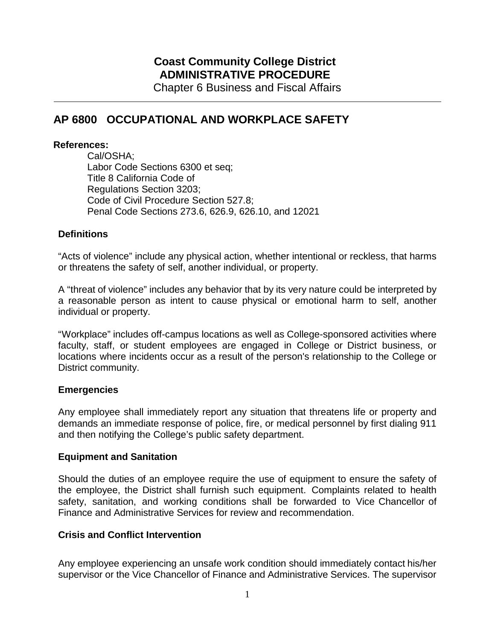# **Coast Community College District ADMINISTRATIVE PROCEDURE**

Chapter 6 Business and Fiscal Affairs

# **AP 6800 OCCUPATIONAL AND WORKPLACE SAFETY**

#### **References:**

Cal/OSHA; Labor Code Sections 6300 et seq; Title 8 California Code of Regulations Section 3203; Code of Civil Procedure Section 527.8; Penal Code Sections 273.6, 626.9, 626.10, and 12021

## **Definitions**

"Acts of violence" include any physical action, whether intentional or reckless, that harms or threatens the safety of self, another individual, or property.

A "threat of violence" includes any behavior that by its very nature could be interpreted by a reasonable person as intent to cause physical or emotional harm to self, another individual or property.

"Workplace" includes off-campus locations as well as College-sponsored activities where faculty, staff, or student employees are engaged in College or District business, or locations where incidents occur as a result of the person's relationship to the College or District community.

### **Emergencies**

Any employee shall immediately report any situation that threatens life or property and demands an immediate response of police, fire, or medical personnel by first dialing 911 and then notifying the College's public safety department.

### **Equipment and Sanitation**

Should the duties of an employee require the use of equipment to ensure the safety of the employee, the District shall furnish such equipment. Complaints related to health safety, sanitation, and working conditions shall be forwarded to Vice Chancellor of Finance and Administrative Services for review and recommendation.

### **Crisis and Conflict Intervention**

Any employee experiencing an unsafe work condition should immediately contact his/her supervisor or the Vice Chancellor of Finance and Administrative Services. The supervisor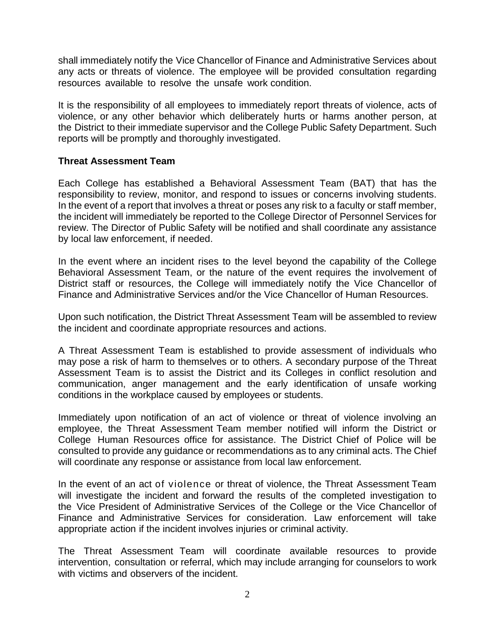shall immediately notify the Vice Chancellor of Finance and Administrative Services about any acts or threats of violence. The employee will be provided consultation regarding resources available to resolve the unsafe work condition.

It is the responsibility of all employees to immediately report threats of violence, acts of violence, or any other behavior which deliberately hurts or harms another person, at the District to their immediate supervisor and the College Public Safety Department. Such reports will be promptly and thoroughly investigated.

#### **Threat Assessment Team**

Each College has established a Behavioral Assessment Team (BAT) that has the responsibility to review, monitor, and respond to issues or concerns involving students. In the event of a report that involves a threat or poses any risk to a faculty or staff member, the incident will immediately be reported to the College Director of Personnel Services for review. The Director of Public Safety will be notified and shall coordinate any assistance by local law enforcement, if needed.

In the event where an incident rises to the level beyond the capability of the College Behavioral Assessment Team, or the nature of the event requires the involvement of District staff or resources, the College will immediately notify the Vice Chancellor of Finance and Administrative Services and/or the Vice Chancellor of Human Resources.

Upon such notification, the District Threat Assessment Team will be assembled to review the incident and coordinate appropriate resources and actions.

A Threat Assessment Team is established to provide assessment of individuals who may pose a risk of harm to themselves or to others. A secondary purpose of the Threat Assessment Team is to assist the District and its Colleges in conflict resolution and communication, anger management and the early identification of unsafe working conditions in the workplace caused by employees or students.

Immediately upon notification of an act of violence or threat of violence involving an employee, the Threat Assessment Team member notified will inform the District or College Human Resources office for assistance. The District Chief of Police will be consulted to provide any guidance or recommendations as to any criminal acts. The Chief will coordinate any response or assistance from local law enforcement.

In the event of an act of violence or threat of violence, the Threat Assessment Team will investigate the incident and forward the results of the completed investigation to the Vice President of Administrative Services of the College or the Vice Chancellor of Finance and Administrative Services for consideration. Law enforcement will take appropriate action if the incident involves injuries or criminal activity.

The Threat Assessment Team will coordinate available resources to provide intervention, consultation or referral, which may include arranging for counselors to work with victims and observers of the incident.